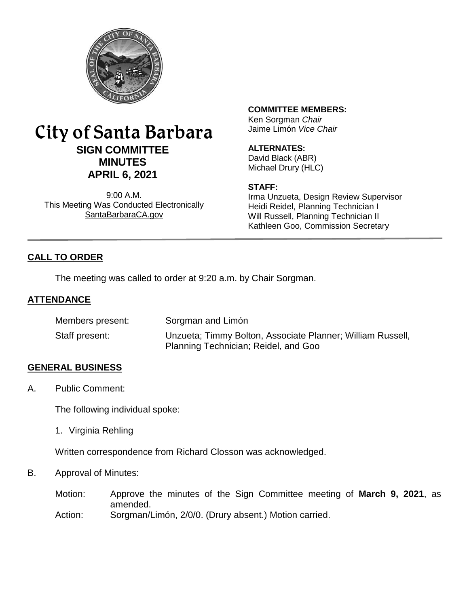

# City of Santa Barbara **SIGN COMMITTEE MINUTES APRIL 6, 2021**

9:00 A.M. This Meeting Was Conducted Electronically [SantaBarbaraCA.gov](http://www.santabarbaraca.gov/)

# **COMMITTEE MEMBERS:**

Ken Sorgman *Chair* Jaime Limón *Vice Chair*

# **ALTERNATES:**

David Black (ABR) Michael Drury (HLC)

### **STAFF:**

Irma Unzueta, Design Review Supervisor Heidi Reidel, Planning Technician I Will Russell, Planning Technician II Kathleen Goo, Commission Secretary

# **CALL TO ORDER**

The meeting was called to order at 9:20 a.m. by Chair Sorgman.

# **ATTENDANCE**

| Members present: | Sorgman and Limón                                                                                  |
|------------------|----------------------------------------------------------------------------------------------------|
| Staff present:   | Unzueta; Timmy Bolton, Associate Planner; William Russell,<br>Planning Technician; Reidel, and Goo |

# **GENERAL BUSINESS**

A. Public Comment:

The following individual spoke:

1. Virginia Rehling

Written correspondence from Richard Closson was acknowledged.

B. Approval of Minutes:

Motion: Approve the minutes of the Sign Committee meeting of **March 9, 2021**, as amended.

Action: Sorgman/Limón, 2/0/0. (Drury absent.) Motion carried.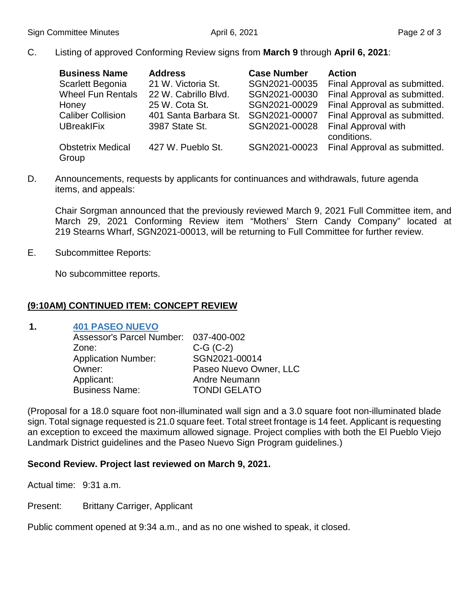C. Listing of approved Conforming Review signs from **March 9** through **April 6, 2021**:

| <b>Business Name</b>              | <b>Address</b>        | <b>Case Number</b> | <b>Action</b>                      |
|-----------------------------------|-----------------------|--------------------|------------------------------------|
| Scarlett Begonia                  | 21 W. Victoria St.    | SGN2021-00035      | Final Approval as submitted.       |
| <b>Wheel Fun Rentals</b>          | 22 W. Cabrillo Blvd.  | SGN2021-00030      | Final Approval as submitted.       |
| Honey                             | 25 W. Cota St.        | SGN2021-00029      | Final Approval as submitted.       |
| <b>Caliber Collision</b>          | 401 Santa Barbara St. | SGN2021-00007      | Final Approval as submitted.       |
| <b>UBreakIFix</b>                 | 3987 State St.        | SGN2021-00028      | Final Approval with<br>conditions. |
| <b>Obstetrix Medical</b><br>Group | 427 W. Pueblo St.     | SGN2021-00023      | Final Approval as submitted.       |

D. Announcements, requests by applicants for continuances and withdrawals, future agenda items, and appeals:

Chair Sorgman announced that the previously reviewed March 9, 2021 Full Committee item, and March 29, 2021 Conforming Review item "Mothers' Stern Candy Company" located at 219 Stearns Wharf, SGN2021-00013, will be returning to Full Committee for further review.

E. Subcommittee Reports:

No subcommittee reports.

# **(9:10AM) CONTINUED ITEM: CONCEPT REVIEW**

#### **1. [401 PASEO NUEVO](https://www.santabarbaraca.gov/civicax/filebank/blobdload.aspx?BlobID=235000)**

| Assessor's Parcel Number: 037-400-002 |                        |
|---------------------------------------|------------------------|
| Zone:                                 | $C-G (C-2)$            |
| <b>Application Number:</b>            | SGN2021-00014          |
| Owner:                                | Paseo Nuevo Owner, LLC |
| Applicant:                            | Andre Neumann          |
| <b>Business Name:</b>                 | <b>TONDI GELATO</b>    |

(Proposal for a 18.0 square foot non-illuminated wall sign and a 3.0 square foot non-illuminated blade sign. Total signage requested is 21.0 square feet. Total street frontage is 14 feet. Applicant is requesting an exception to exceed the maximum allowed signage. Project complies with both the El Pueblo Viejo Landmark District guidelines and the Paseo Nuevo Sign Program guidelines.)

# **Second Review. Project last reviewed on March 9, 2021.**

Actual time: 9:31 a.m.

Present: Brittany Carriger, Applicant

Public comment opened at 9:34 a.m., and as no one wished to speak, it closed.